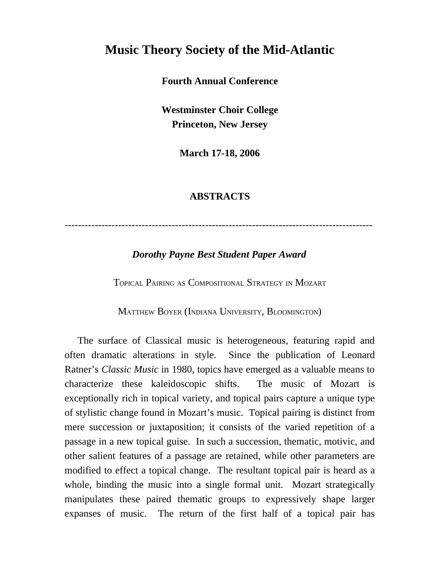# **Music Theory Society of the Mid-Atlantic**

#### **Fourth Annual Conference**

**Westminster Choir College Princeton, New Jersey**

**March 17-18, 2006**

#### **ABSTRACTS**

--------------------------------------------------------------------------------------------

### *Dorothy Payne Best Student Paper Award*

TOPICAL PAIRING AS COMPOSITIONAL STRATEGY IN MOZART

MATTHEW BOYER (INDIANA UNIVERSITY, BLOOMINGTON)

The surface of Classical music is heterogeneous, featuring rapid and often dramatic alterations in style. Since the publication of Leonard Ratner's *Classic Music* in 1980, topics have emerged as a valuable means to characterize these kaleidoscopic shifts. The music of Mozart is exceptionally rich in topical variety, and topical pairs capture a unique type of stylistic change found in Mozart's music. Topical pairing is distinct from mere succession or juxtaposition; it consists of the varied repetition of a passage in a new topical guise. In such a succession, thematic, motivic, and other salient features of a passage are retained, while other parameters are modified to effect a topical change. The resultant topical pair is heard as a whole, binding the music into a single formal unit. Mozart strategically manipulates these paired thematic groups to expressively shape larger expanses of music. The return of the first half of a topical pair has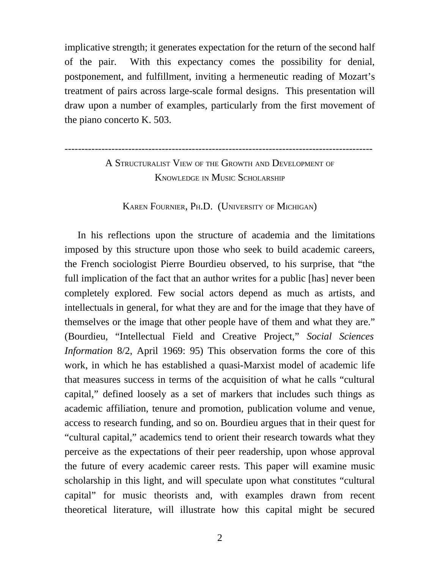implicative strength; it generates expectation for the return of the second half of the pair. With this expectancy comes the possibility for denial, postponement, and fulfillment, inviting a hermeneutic reading of Mozart's treatment of pairs across large-scale formal designs. This presentation will draw upon a number of examples, particularly from the first movement of the piano concerto K. 503.

A STRUCTURALIST VIEW OF THE GROWTH AND DEVELOPMENT OF KNOWLEDGE IN MUSIC SCHOLARSHIP

--------------------------------------------------------------------------------------------

KAREN FOURNIER, PH.D. (UNIVERSITY OF MICHIGAN)

In his reflections upon the structure of academia and the limitations imposed by this structure upon those who seek to build academic careers, the French sociologist Pierre Bourdieu observed, to his surprise, that "the full implication of the fact that an author writes for a public [has] never been completely explored. Few social actors depend as much as artists, and intellectuals in general, for what they are and for the image that they have of themselves or the image that other people have of them and what they are." (Bourdieu, "Intellectual Field and Creative Project," *Social Sciences Information* 8/2, April 1969: 95) This observation forms the core of this work, in which he has established a quasi-Marxist model of academic life that measures success in terms of the acquisition of what he calls "cultural capital," defined loosely as a set of markers that includes such things as academic affiliation, tenure and promotion, publication volume and venue, access to research funding, and so on. Bourdieu argues that in their quest for "cultural capital," academics tend to orient their research towards what they perceive as the expectations of their peer readership, upon whose approval the future of every academic career rests. This paper will examine music scholarship in this light, and will speculate upon what constitutes "cultural capital" for music theorists and, with examples drawn from recent theoretical literature, will illustrate how this capital might be secured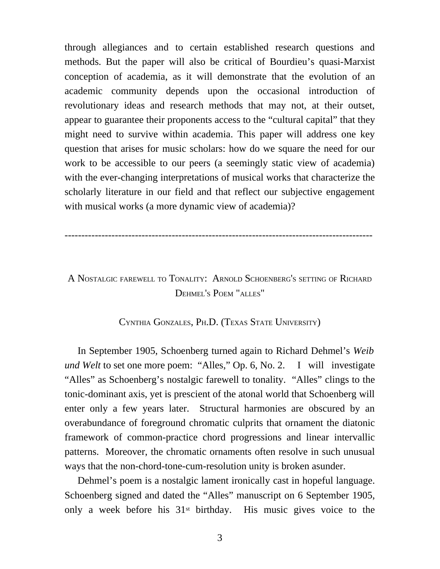through allegiances and to certain established research questions and methods. But the paper will also be critical of Bourdieu's quasi-Marxist conception of academia, as it will demonstrate that the evolution of an academic community depends upon the occasional introduction of revolutionary ideas and research methods that may not, at their outset, appear to guarantee their proponents access to the "cultural capital" that they might need to survive within academia. This paper will address one key question that arises for music scholars: how do we square the need for our work to be accessible to our peers (a seemingly static view of academia) with the ever-changing interpretations of musical works that characterize the scholarly literature in our field and that reflect our subjective engagement with musical works (a more dynamic view of academia)?

--------------------------------------------------------------------------------------------

## A NOSTALGIC FAREWELL TO TONALITY: ARNOLD SCHOENBERG'<sup>S</sup> SETTING OF RICHARD DEHMEL'S POEM "ALLES"

#### CYNTHIA GONZALES, PH.D. (TEXAS STATE UNIVERSITY)

In September 1905, Schoenberg turned again to Richard Dehmel's *Weib und Welt* to set one more poem: "Alles," Op. 6, No. 2. I will investigate "Alles" as Schoenberg's nostalgic farewell to tonality. "Alles" clings to the tonic-dominant axis, yet is prescient of the atonal world that Schoenberg will enter only a few years later. Structural harmonies are obscured by an overabundance of foreground chromatic culprits that ornament the diatonic framework of common-practice chord progressions and linear intervallic patterns. Moreover, the chromatic ornaments often resolve in such unusual ways that the non-chord-tone-cum-resolution unity is broken asunder.

Dehmel's poem is a nostalgic lament ironically cast in hopeful language. Schoenberg signed and dated the "Alles" manuscript on 6 September 1905, only a week before his 31st birthday. His music gives voice to the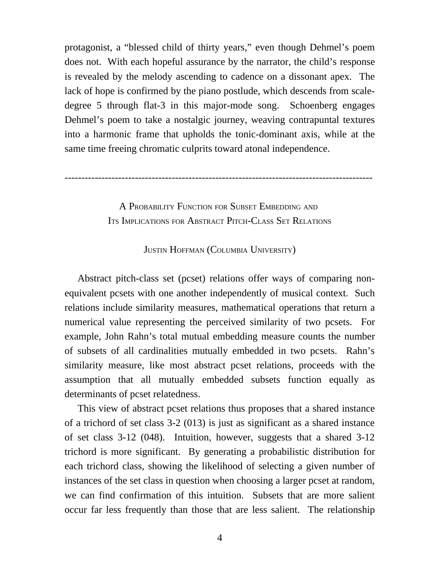protagonist, a "blessed child of thirty years," even though Dehmel's poem does not. With each hopeful assurance by the narrator, the child's response is revealed by the melody ascending to cadence on a dissonant apex. The lack of hope is confirmed by the piano postlude, which descends from scaledegree 5 through flat-3 in this major-mode song. Schoenberg engages Dehmel's poem to take a nostalgic journey, weaving contrapuntal textures into a harmonic frame that upholds the tonic-dominant axis, while at the same time freeing chromatic culprits toward atonal independence.

--------------------------------------------------------------------------------------------

A PROBABILITY FUNCTION FOR SUBSET EMBEDDING AND ITS IMPLICATIONS FOR ABSTRACT PITCH-CLASS SET RELATIONS

JUSTIN HOFFMAN (COLUMBIA UNIVERSITY)

Abstract pitch-class set (pcset) relations offer ways of comparing nonequivalent pcsets with one another independently of musical context. Such relations include similarity measures, mathematical operations that return a numerical value representing the perceived similarity of two pcsets. For example, John Rahn's total mutual embedding measure counts the number of subsets of all cardinalities mutually embedded in two pcsets. Rahn's similarity measure, like most abstract pcset relations, proceeds with the assumption that all mutually embedded subsets function equally as determinants of pcset relatedness.

This view of abstract pcset relations thus proposes that a shared instance of a trichord of set class 3-2 (013) is just as significant as a shared instance of set class 3-12 (048). Intuition, however, suggests that a shared 3-12 trichord is more significant. By generating a probabilistic distribution for each trichord class, showing the likelihood of selecting a given number of instances of the set class in question when choosing a larger pcset at random, we can find confirmation of this intuition. Subsets that are more salient occur far less frequently than those that are less salient. The relationship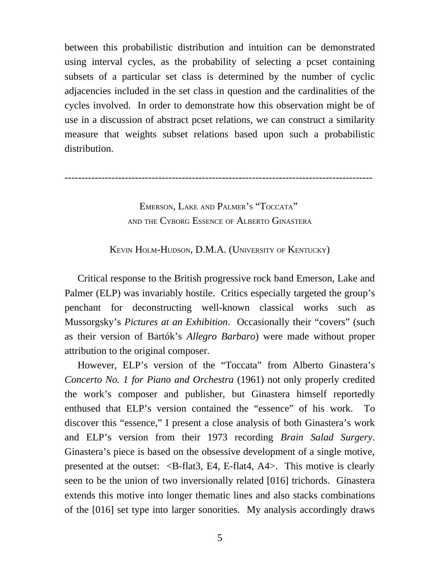between this probabilistic distribution and intuition can be demonstrated using interval cycles, as the probability of selecting a pcset containing subsets of a particular set class is determined by the number of cyclic adjacencies included in the set class in question and the cardinalities of the cycles involved. In order to demonstrate how this observation might be of use in a discussion of abstract pcset relations, we can construct a similarity measure that weights subset relations based upon such a probabilistic distribution.

--------------------------------------------------------------------------------------------

EMERSON, LAKE AND PALMER'S "TOCCATA" AND THE CYBORG ESSENCE OF ALBERTO GINASTERA

KEVIN HOLM-HUDSON, D.M.A. (UNIVERSITY OF KENTUCKY)

Critical response to the British progressive rock band Emerson, Lake and Palmer (ELP) was invariably hostile. Critics especially targeted the group's penchant for deconstructing well-known classical works such as Mussorgsky's *Pictures at an Exhibition*. Occasionally their "covers" (such as their version of Bartók's *Allegro Barbaro*) were made without proper attribution to the original composer.

However, ELP's version of the "Toccata" from Alberto Ginastera's *Concerto No. 1 for Piano and Orchestra* (1961) not only properly credited the work's composer and publisher, but Ginastera himself reportedly enthused that ELP's version contained the "essence" of his work. To discover this "essence," I present a close analysis of both Ginastera's work and ELP's version from their 1973 recording *Brain Salad Surgery*. Ginastera's piece is based on the obsessive development of a single motive, presented at the outset:  $\langle B-f \rangle$ -flat3, E4, E-flat4, A4 $>$ . This motive is clearly seen to be the union of two inversionally related [016] trichords. Ginastera extends this motive into longer thematic lines and also stacks combinations of the [016] set type into larger sonorities. My analysis accordingly draws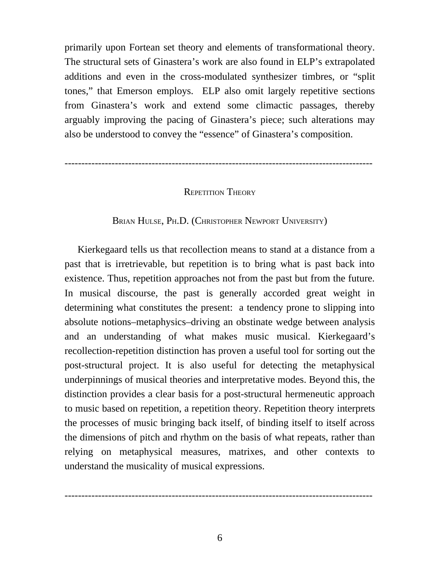primarily upon Fortean set theory and elements of transformational theory. The structural sets of Ginastera's work are also found in ELP's extrapolated additions and even in the cross-modulated synthesizer timbres, or "split tones," that Emerson employs. ELP also omit largely repetitive sections from Ginastera's work and extend some climactic passages, thereby arguably improving the pacing of Ginastera's piece; such alterations may also be understood to convey the "essence" of Ginastera's composition.

--------------------------------------------------------------------------------------------

#### REPETITION THEORY

#### BRIAN HULSE, PH.D. (CHRISTOPHER NEWPORT UNIVERSITY)

Kierkegaard tells us that recollection means to stand at a distance from a past that is irretrievable, but repetition is to bring what is past back into existence. Thus, repetition approaches not from the past but from the future. In musical discourse, the past is generally accorded great weight in determining what constitutes the present: a tendency prone to slipping into absolute notions–metaphysics–driving an obstinate wedge between analysis and an understanding of what makes music musical. Kierkegaard's recollection-repetition distinction has proven a useful tool for sorting out the post-structural project. It is also useful for detecting the metaphysical underpinnings of musical theories and interpretative modes. Beyond this, the distinction provides a clear basis for a post-structural hermeneutic approach to music based on repetition, a repetition theory. Repetition theory interprets the processes of music bringing back itself, of binding itself to itself across the dimensions of pitch and rhythm on the basis of what repeats, rather than relying on metaphysical measures, matrixes, and other contexts to understand the musicality of musical expressions.

--------------------------------------------------------------------------------------------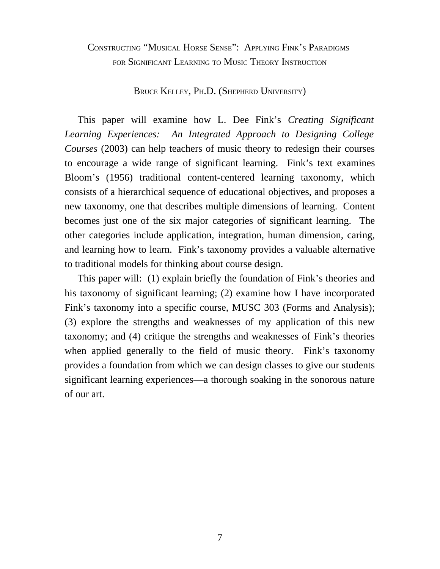### CONSTRUCTING "MUSICAL HORSE SENSE": APPLYING FINK'S PARADIGMS FOR SIGNIFICANT LEARNING TO MUSIC THEORY INSTRUCTION

BRUCE KELLEY, PH.D. (SHEPHERD UNIVERSITY)

This paper will examine how L. Dee Fink's *Creating Significant Learning Experiences: An Integrated Approach to Designing College Courses* (2003) can help teachers of music theory to redesign their courses to encourage a wide range of significant learning. Fink's text examines Bloom's (1956) traditional content-centered learning taxonomy, which consists of a hierarchical sequence of educational objectives, and proposes a new taxonomy, one that describes multiple dimensions of learning. Content becomes just one of the six major categories of significant learning. The other categories include application, integration, human dimension, caring, and learning how to learn. Fink's taxonomy provides a valuable alternative to traditional models for thinking about course design.

This paper will: (1) explain briefly the foundation of Fink's theories and his taxonomy of significant learning; (2) examine how I have incorporated Fink's taxonomy into a specific course, MUSC 303 (Forms and Analysis); (3) explore the strengths and weaknesses of my application of this new taxonomy; and (4) critique the strengths and weaknesses of Fink's theories when applied generally to the field of music theory. Fink's taxonomy provides a foundation from which we can design classes to give our students significant learning experiences—a thorough soaking in the sonorous nature of our art.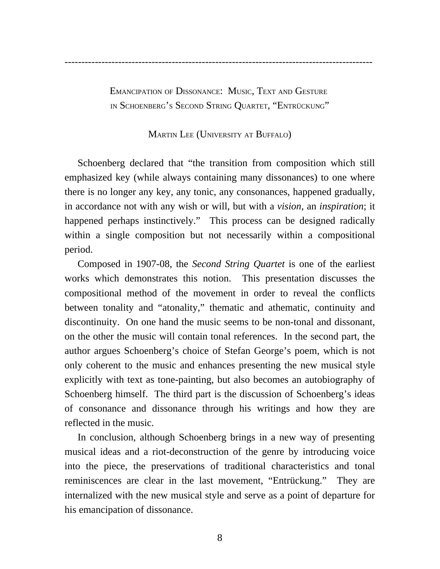EMANCIPATION OF DISSONANCE: MUSIC, TEXT AND GESTURE IN SCHOENBERG'S SECOND STRING QUARTET, "ENTRÜCKUNG"

### MARTIN LEE (UNIVERSITY AT BUFFALO)

Schoenberg declared that "the transition from composition which still emphasized key (while always containing many dissonances) to one where there is no longer any key, any tonic, any consonances, happened gradually, in accordance not with any wish or will, but with a *vision*, an *inspiration*; it happened perhaps instinctively." This process can be designed radically within a single composition but not necessarily within a compositional period.

Composed in 1907-08, the *Second String Quartet* is one of the earliest works which demonstrates this notion. This presentation discusses the compositional method of the movement in order to reveal the conflicts between tonality and "atonality," thematic and athematic, continuity and discontinuity. On one hand the music seems to be non-tonal and dissonant, on the other the music will contain tonal references. In the second part, the author argues Schoenberg's choice of Stefan George's poem, which is not only coherent to the music and enhances presenting the new musical style explicitly with text as tone-painting, but also becomes an autobiography of Schoenberg himself. The third part is the discussion of Schoenberg's ideas of consonance and dissonance through his writings and how they are reflected in the music.

In conclusion, although Schoenberg brings in a new way of presenting musical ideas and a riot-deconstruction of the genre by introducing voice into the piece, the preservations of traditional characteristics and tonal reminiscences are clear in the last movement, "Entrückung." They are internalized with the new musical style and serve as a point of departure for his emancipation of dissonance.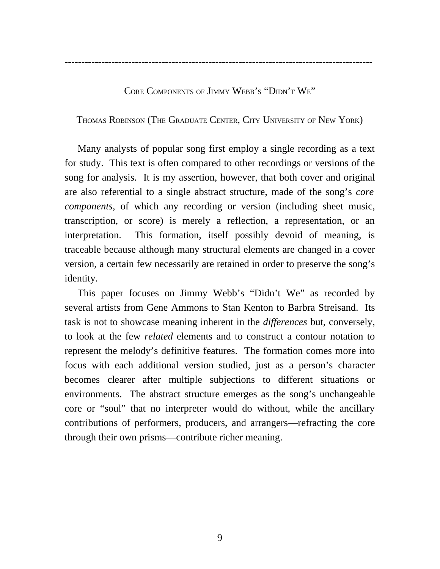--------------------------------------------------------------------------------------------

CORE COMPONENTS OF JIMMY WEBB'S "DIDN'T WE"

THOMAS ROBINSON (THE GRADUATE CENTER, CITY UNIVERSITY OF NEW YORK)

Many analysts of popular song first employ a single recording as a text for study. This text is often compared to other recordings or versions of the song for analysis. It is my assertion, however, that both cover and original are also referential to a single abstract structure, made of the song's *core components*, of which any recording or version (including sheet music, transcription, or score) is merely a reflection, a representation, or an interpretation. This formation, itself possibly devoid of meaning, is traceable because although many structural elements are changed in a cover version, a certain few necessarily are retained in order to preserve the song's identity.

This paper focuses on Jimmy Webb's "Didn't We" as recorded by several artists from Gene Ammons to Stan Kenton to Barbra Streisand. Its task is not to showcase meaning inherent in the *differences* but, conversely, to look at the few *related* elements and to construct a contour notation to represent the melody's definitive features. The formation comes more into focus with each additional version studied, just as a person's character becomes clearer after multiple subjections to different situations or environments. The abstract structure emerges as the song's unchangeable core or "soul" that no interpreter would do without, while the ancillary contributions of performers, producers, and arrangers—refracting the core through their own prisms—contribute richer meaning.